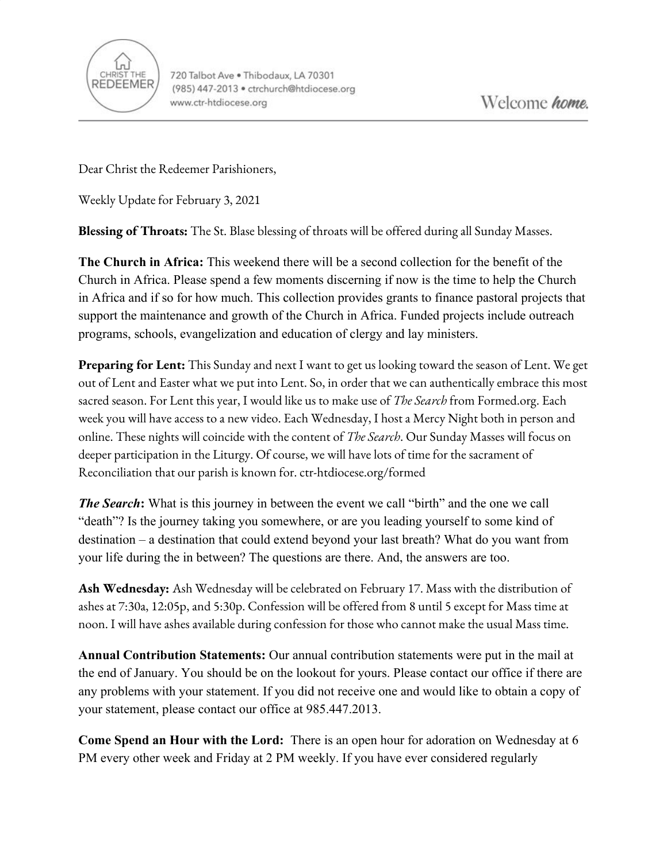

Dear Christ the Redeemer Parishioners,

Weekly Update for February 3, 2021

**Blessing of Throats:** The St. Blase blessing of throats will be offered during all Sunday Masses.

**The Church in Africa:** This weekend there will be a second collection for the benefit of the Church in Africa. Please spend a few moments discerning if now is the time to help the Church in Africa and if so for how much. This collection provides grants to finance pastoral projects that support the maintenance and growth of the Church in Africa. Funded projects include outreach programs, schools, evangelization and education of clergy and lay ministers.

**Preparing for Lent:** This Sunday and next I want to get us looking toward the season of Lent. We get out of Lent and Easter what we put into Lent. So, in order that we can authentically embrace this most sacred season. For Lent this year, I would like us to make use of *The Search* from Formed.org. Each week you will have access to a new video. Each Wednesday, I host a Mercy Night both in person and online. These nights will coincide with the content of *The Search*. Our Sunday Masses will focus on deeper participation in the Liturgy. Of course, we will have lots of time for the sacrament of Reconciliation that our parish is known for. ctr-htdiocese.org/formed

*The Search*: What is this journey in between the event we call "birth" and the one we call "death"? Is the journey taking you somewhere, or are you leading yourself to some kind of destination – a destination that could extend beyond your last breath? What do you want from your life during the in between? The questions are there. And, the answers are too.

**Ash Wednesday:** Ash Wednesday will be celebrated on February 17. Mass with the distribution of ashes at 7:30a, 12:05p, and 5:30p. Confession will be offered from 8 until 5 except for Mass time at noon. I will have ashes available during confession for those who cannot make the usual Mass time.

**Annual Contribution Statements:** Our annual contribution statements were put in the mail at the end of January. You should be on the lookout for yours. Please contact our office if there are any problems with your statement. If you did not receive one and would like to obtain a copy of your statement, please contact our office at 985.447.2013.

**Come Spend an Hour with the Lord:** There is an open hour for adoration on Wednesday at 6 PM every other week and Friday at 2 PM weekly. If you have ever considered regularly